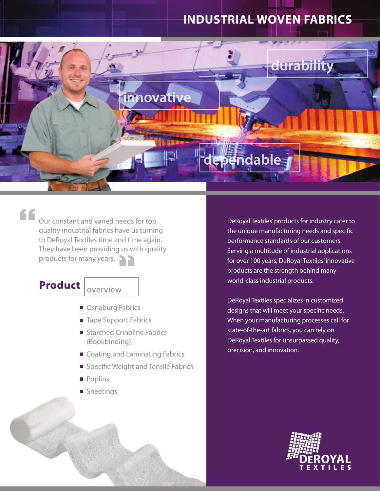# **INDUSTRIAL WOVEN FABRICS**



## "

Our constant and varied needs for top quality industrial fabrics have us turning to DeRoyal Textiles time and time again. They have been providing us with quality products for many years.

## **Product**

overview

- Osnaburg Fabrics
- Tape Support Fabrics
- Starched Crinoline Fabrics (Bookbinding)
- Coating and Laminating Fabrics
- Specific Weight and Tensile Fabrics
- **Poplins**
- **B** Sheetings

DeRoyal Textiles' products for industry cater to the unique manufacturing needs and specific performance standards of our customers. Serving a multitude of industrial applications for over 100 years, DeRoyal Textiles' innovative products are the strength behind many world-class industrial products.

DeRoyal Textiles specializes in customized designs that will meet your specific needs. When your manufacturing processes call for state-of-the-art fabrics, you can rely on DeRoyal Textiles for unsurpassed quality, precision, and innovation.